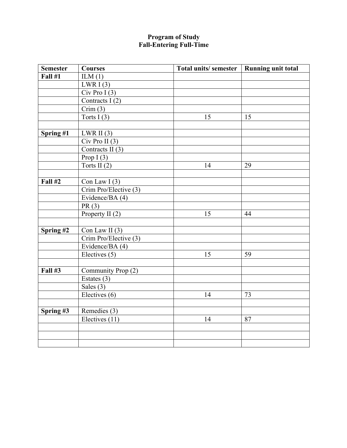## **Program of Study Fall-Entering Full-Time**

| <b>Semester</b> | <b>Courses</b>        | Total units/semester   Running unit total |    |
|-----------------|-----------------------|-------------------------------------------|----|
| <b>Fall #1</b>  | ILM(1)                |                                           |    |
|                 | LWRI $(3)$            |                                           |    |
|                 | $Civ$ Pro I $(3)$     |                                           |    |
|                 | Contracts I(2)        |                                           |    |
|                 | Crim(3)               |                                           |    |
|                 | Torts $I(3)$          | 15                                        | 15 |
|                 |                       |                                           |    |
| Spring #1       | $LWR$ II $(3)$        |                                           |    |
|                 | $Civ$ Pro II $(3)$    |                                           |    |
|                 | Contracts II $(3)$    |                                           |    |
|                 | Prop $I(3)$           |                                           |    |
|                 | Torts II $(2)$        | 14                                        | 29 |
|                 |                       |                                           |    |
| <b>Fall #2</b>  | Con Law $I(3)$        |                                           |    |
|                 | Crim Pro/Elective (3) |                                           |    |
|                 | Evidence/BA (4)       |                                           |    |
|                 | PR(3)                 |                                           |    |
|                 | Property II (2)       | 15                                        | 44 |
|                 |                       |                                           |    |
| Spring #2       | Con Law II $(3)$      |                                           |    |
|                 | Crim Pro/Elective (3) |                                           |    |
|                 | Evidence/BA (4)       |                                           |    |
|                 | Electives (5)         | 15                                        | 59 |
|                 |                       |                                           |    |
| <b>Fall #3</b>  | Community Prop (2)    |                                           |    |
|                 | Estates $(3)$         |                                           |    |
|                 | Sales $(3)$           |                                           |    |
|                 | Electives (6)         | 14                                        | 73 |
|                 |                       |                                           |    |
| Spring #3       | Remedies (3)          |                                           |    |
|                 | Electives (11)        | 14                                        | 87 |
|                 |                       |                                           |    |
|                 |                       |                                           |    |
|                 |                       |                                           |    |